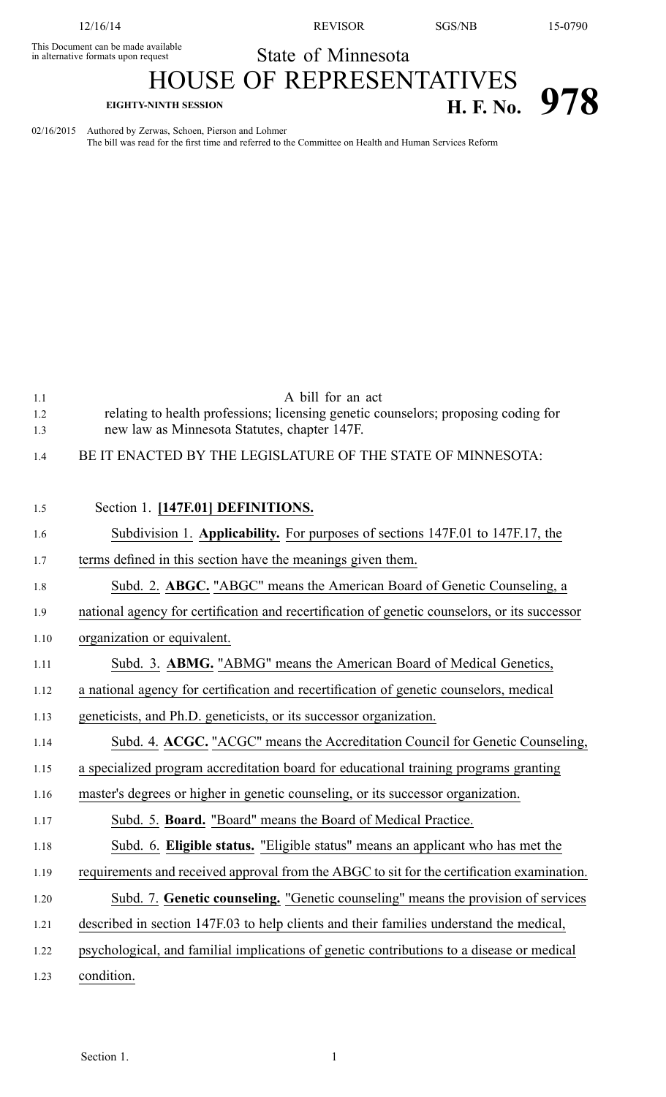This Document can be made available

12/16/14 REVISOR SGS/NB 15-0790

State of Minnesota

## HOUSE OF REPRESENTATIVES **EIGHTY-NINTH SESSION H. F. No. 978**

02/16/2015 Authored by Zerwas, Schoen, Pierson and Lohmer The bill was read for the first time and referred to the Committee on Health and Human Services Reform

1.1 A bill for an act

- 1.2 relating to health professions; licensing genetic counselors; proposing coding for 1.3 new law as Minnesota Statutes, chapter 147F.
- 1.4 BE IT ENACTED BY THE LEGISLATURE OF THE STATE OF MINNESOTA:

| 1.5  | Section 1. [147F.01] DEFINITIONS.                                                             |
|------|-----------------------------------------------------------------------------------------------|
| 1.6  | Subdivision 1. Applicability. For purposes of sections 147F.01 to 147F.17, the                |
| 1.7  | terms defined in this section have the meanings given them.                                   |
| 1.8  | Subd. 2. ABGC. "ABGC" means the American Board of Genetic Counseling, a                       |
| 1.9  | national agency for certification and recertification of genetic counselors, or its successor |
| 1.10 | organization or equivalent.                                                                   |
| 1.11 | Subd. 3. ABMG. "ABMG" means the American Board of Medical Genetics,                           |
| 1.12 | a national agency for certification and recertification of genetic counselors, medical        |
| 1.13 | geneticists, and Ph.D. geneticists, or its successor organization.                            |
| 1.14 | Subd. 4. ACGC. "ACGC" means the Accreditation Council for Genetic Counseling,                 |
| 1.15 | a specialized program accreditation board for educational training programs granting          |
| 1.16 | master's degrees or higher in genetic counseling, or its successor organization.              |
| 1.17 | Subd. 5. Board. "Board" means the Board of Medical Practice.                                  |
| 1.18 | Subd. 6. Eligible status. "Eligible status" means an applicant who has met the                |
| 1.19 | requirements and received approval from the ABGC to sit for the certification examination.    |
| 1.20 | Subd. 7. Genetic counseling. "Genetic counseling" means the provision of services             |
| 1.21 | described in section 147F.03 to help clients and their families understand the medical,       |
| 1.22 | psychological, and familial implications of genetic contributions to a disease or medical     |
| 1.23 | condition.                                                                                    |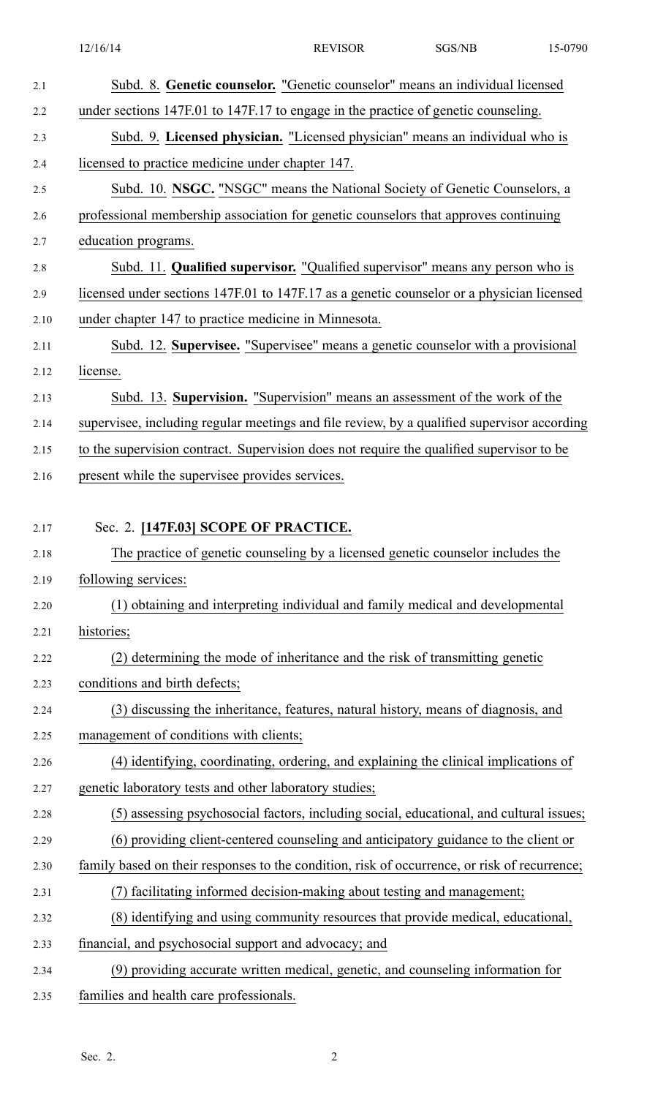| 2.1  | Subd. 8. Genetic counselor. "Genetic counselor" means an individual licensed                 |
|------|----------------------------------------------------------------------------------------------|
| 2.2  | under sections 147F.01 to 147F.17 to engage in the practice of genetic counseling.           |
| 2.3  | Subd. 9. Licensed physician. "Licensed physician" means an individual who is                 |
| 2.4  | licensed to practice medicine under chapter 147.                                             |
| 2.5  | Subd. 10. NSGC. "NSGC" means the National Society of Genetic Counselors, a                   |
| 2.6  | professional membership association for genetic counselors that approves continuing          |
| 2.7  | education programs.                                                                          |
| 2.8  | Subd. 11. Qualified supervisor. "Qualified supervisor" means any person who is               |
| 2.9  | licensed under sections 147F.01 to 147F.17 as a genetic counselor or a physician licensed    |
| 2.10 | under chapter 147 to practice medicine in Minnesota.                                         |
| 2.11 | Subd. 12. Supervisee. "Supervisee" means a genetic counselor with a provisional              |
| 2.12 | license.                                                                                     |
| 2.13 | Subd. 13. Supervision. "Supervision" means an assessment of the work of the                  |
| 2.14 | supervisee, including regular meetings and file review, by a qualified supervisor according  |
| 2.15 | to the supervision contract. Supervision does not require the qualified supervisor to be     |
| 2.16 | present while the supervisee provides services.                                              |
|      |                                                                                              |
| 2.17 | Sec. 2. [147F.03] SCOPE OF PRACTICE.                                                         |
| 2.18 | The practice of genetic counseling by a licensed genetic counselor includes the              |
| 2.19 | following services:                                                                          |
| 2.20 | (1) obtaining and interpreting individual and family medical and developmental               |
| 2.21 | histories;                                                                                   |
| 2.22 | (2) determining the mode of inheritance and the risk of transmitting genetic                 |
| 2.23 | conditions and birth defects;                                                                |
| 2.24 | (3) discussing the inheritance, features, natural history, means of diagnosis, and           |
| 2.25 | management of conditions with clients;                                                       |
| 2.26 | (4) identifying, coordinating, ordering, and explaining the clinical implications of         |
| 2.27 | genetic laboratory tests and other laboratory studies;                                       |
| 2.28 | (5) assessing psychosocial factors, including social, educational, and cultural issues;      |
| 2.29 | (6) providing client-centered counseling and anticipatory guidance to the client or          |
| 2.30 | family based on their responses to the condition, risk of occurrence, or risk of recurrence; |
| 2.31 | (7) facilitating informed decision-making about testing and management;                      |
| 2.32 | (8) identifying and using community resources that provide medical, educational,             |
| 2.33 | financial, and psychosocial support and advocacy; and                                        |
| 2.34 | (9) providing accurate written medical, genetic, and counseling information for              |
| 2.35 | families and health care professionals.                                                      |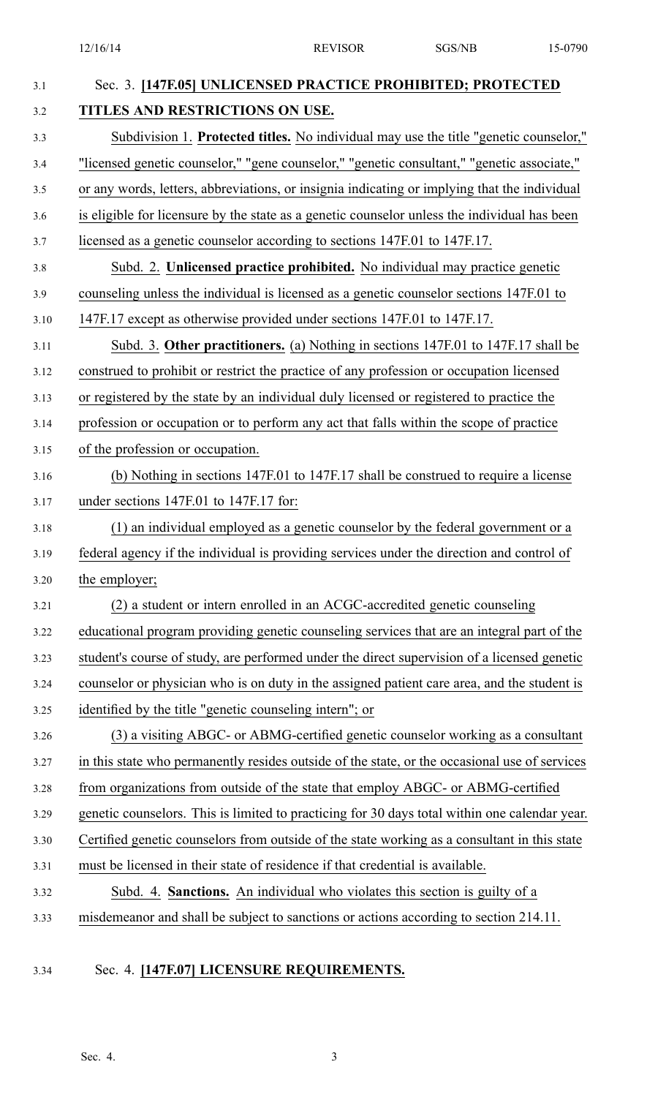12/16/14 REVISOR SGS/NB 15-0790

| 3.1  | Sec. 3. [147F.05] UNLICENSED PRACTICE PROHIBITED; PROTECTED                                   |
|------|-----------------------------------------------------------------------------------------------|
| 3.2  | TITLES AND RESTRICTIONS ON USE.                                                               |
| 3.3  | Subdivision 1. Protected titles. No individual may use the title "genetic counselor,"         |
| 3.4  | "licensed genetic counselor," "gene counselor," "genetic consultant," "genetic associate,"    |
| 3.5  | or any words, letters, abbreviations, or insignia indicating or implying that the individual  |
| 3.6  | is eligible for licensure by the state as a genetic counselor unless the individual has been  |
| 3.7  | licensed as a genetic counselor according to sections 147F.01 to 147F.17.                     |
| 3.8  | Subd. 2. Unlicensed practice prohibited. No individual may practice genetic                   |
| 3.9  | counseling unless the individual is licensed as a genetic counselor sections 147F.01 to       |
| 3.10 | 147F.17 except as otherwise provided under sections 147F.01 to 147F.17.                       |
| 3.11 | Subd. 3. Other practitioners. (a) Nothing in sections 147F.01 to 147F.17 shall be             |
| 3.12 | construed to prohibit or restrict the practice of any profession or occupation licensed       |
| 3.13 | or registered by the state by an individual duly licensed or registered to practice the       |
| 3.14 | profession or occupation or to perform any act that falls within the scope of practice        |
| 3.15 | of the profession or occupation.                                                              |
| 3.16 | (b) Nothing in sections 147F.01 to 147F.17 shall be construed to require a license            |
| 3.17 | under sections 147F.01 to 147F.17 for:                                                        |
| 3.18 | (1) an individual employed as a genetic counselor by the federal government or a              |
| 3.19 | federal agency if the individual is providing services under the direction and control of     |
| 3.20 | the employer;                                                                                 |
| 3.21 | (2) a student or intern enrolled in an ACGC-accredited genetic counseling                     |
| 3.22 | educational program providing genetic counseling services that are an integral part of the    |
| 3.23 | student's course of study, are performed under the direct supervision of a licensed genetic   |
| 3.24 | counselor or physician who is on duty in the assigned patient care area, and the student is   |
| 3.25 | identified by the title "genetic counseling intern"; or                                       |
| 3.26 | (3) a visiting ABGC- or ABMG-certified genetic counselor working as a consultant              |
| 3.27 | in this state who permanently resides outside of the state, or the occasional use of services |
| 3.28 | from organizations from outside of the state that employ ABGC- or ABMG-certified              |
| 3.29 | genetic counselors. This is limited to practicing for 30 days total within one calendar year. |
| 3.30 | Certified genetic counselors from outside of the state working as a consultant in this state  |
| 3.31 | must be licensed in their state of residence if that credential is available.                 |
| 3.32 | Subd. 4. Sanctions. An individual who violates this section is guilty of a                    |
| 3.33 | misdemeanor and shall be subject to sanctions or actions according to section 214.11.         |
|      |                                                                                               |

## 3.34 Sec. 4. **[147F.07] LICENSURE REQUIREMENTS.**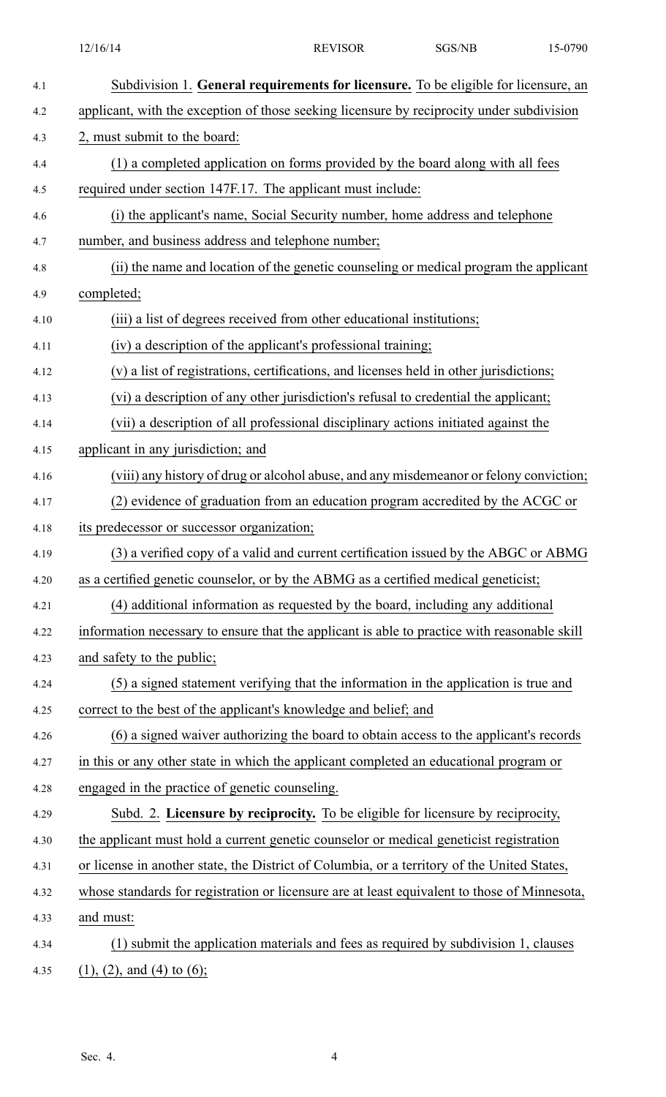| 4.1  | Subdivision 1. General requirements for licensure. To be eligible for licensure, an          |
|------|----------------------------------------------------------------------------------------------|
| 4.2  | applicant, with the exception of those seeking licensure by reciprocity under subdivision    |
| 4.3  | 2, must submit to the board:                                                                 |
| 4.4  | (1) a completed application on forms provided by the board along with all fees               |
| 4.5  | required under section 147F.17. The applicant must include:                                  |
| 4.6  | (i) the applicant's name, Social Security number, home address and telephone                 |
| 4.7  | number, and business address and telephone number;                                           |
| 4.8  | (ii) the name and location of the genetic counseling or medical program the applicant        |
| 4.9  | completed;                                                                                   |
| 4.10 | (iii) a list of degrees received from other educational institutions;                        |
| 4.11 | (iv) a description of the applicant's professional training;                                 |
| 4.12 | (v) a list of registrations, certifications, and licenses held in other jurisdictions;       |
| 4.13 | (vi) a description of any other jurisdiction's refusal to credential the applicant;          |
| 4.14 | (vii) a description of all professional disciplinary actions initiated against the           |
| 4.15 | applicant in any jurisdiction; and                                                           |
| 4.16 | (viii) any history of drug or alcohol abuse, and any misdemeanor or felony conviction;       |
| 4.17 | (2) evidence of graduation from an education program accredited by the ACGC or               |
| 4.18 | its predecessor or successor organization;                                                   |
| 4.19 | (3) a verified copy of a valid and current certification issued by the ABGC or ABMG          |
| 4.20 | as a certified genetic counselor, or by the ABMG as a certified medical geneticist;          |
| 4.21 | (4) additional information as requested by the board, including any additional               |
| 4.22 | information necessary to ensure that the applicant is able to practice with reasonable skill |
| 4.23 | and safety to the public;                                                                    |
| 4.24 | (5) a signed statement verifying that the information in the application is true and         |
| 4.25 | correct to the best of the applicant's knowledge and belief; and                             |
| 4.26 | (6) a signed waiver authorizing the board to obtain access to the applicant's records        |
| 4.27 | in this or any other state in which the applicant completed an educational program or        |
| 4.28 | engaged in the practice of genetic counseling.                                               |
| 4.29 | Subd. 2. Licensure by reciprocity. To be eligible for licensure by reciprocity,              |
| 4.30 | the applicant must hold a current genetic counselor or medical geneticist registration       |
| 4.31 | or license in another state, the District of Columbia, or a territory of the United States,  |
| 4.32 | whose standards for registration or licensure are at least equivalent to those of Minnesota, |
| 4.33 | and must:                                                                                    |
| 4.34 | (1) submit the application materials and fees as required by subdivision 1, clauses          |
| 4.35 | $(1)$ , $(2)$ , and $(4)$ to $(6)$ ;                                                         |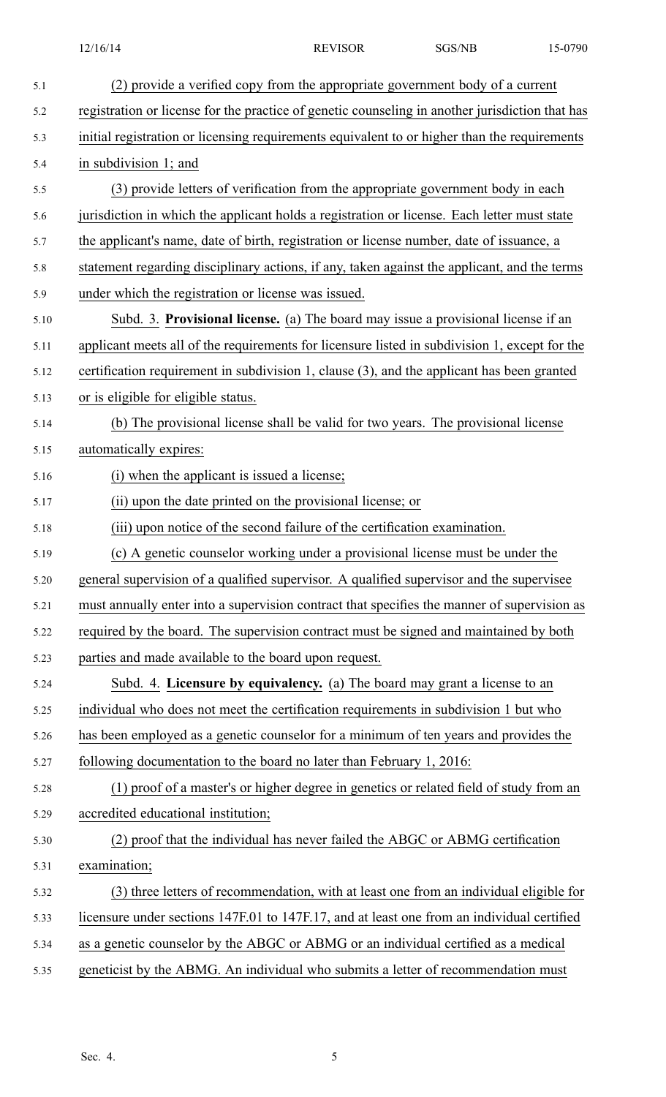| 5.1  | (2) provide a verified copy from the appropriate government body of a current                   |
|------|-------------------------------------------------------------------------------------------------|
| 5.2  | registration or license for the practice of genetic counseling in another jurisdiction that has |
| 5.3  | initial registration or licensing requirements equivalent to or higher than the requirements    |
| 5.4  | in subdivision 1; and                                                                           |
| 5.5  | (3) provide letters of verification from the appropriate government body in each                |
| 5.6  | jurisdiction in which the applicant holds a registration or license. Each letter must state     |
| 5.7  | the applicant's name, date of birth, registration or license number, date of issuance, a        |
| 5.8  | statement regarding disciplinary actions, if any, taken against the applicant, and the terms    |
| 5.9  | under which the registration or license was issued.                                             |
| 5.10 | Subd. 3. Provisional license. (a) The board may issue a provisional license if an               |
| 5.11 | applicant meets all of the requirements for licensure listed in subdivision 1, except for the   |
| 5.12 | certification requirement in subdivision 1, clause (3), and the applicant has been granted      |
| 5.13 | or is eligible for eligible status.                                                             |
| 5.14 | (b) The provisional license shall be valid for two years. The provisional license               |
| 5.15 | automatically expires:                                                                          |
| 5.16 | (i) when the applicant is issued a license;                                                     |
| 5.17 | (ii) upon the date printed on the provisional license; or                                       |
| 5.18 | (iii) upon notice of the second failure of the certification examination.                       |
| 5.19 | (c) A genetic counselor working under a provisional license must be under the                   |
| 5.20 | general supervision of a qualified supervisor. A qualified supervisor and the supervisee        |
| 5.21 | must annually enter into a supervision contract that specifies the manner of supervision as     |
| 5.22 | required by the board. The supervision contract must be signed and maintained by both           |
| 5.23 | parties and made available to the board upon request.                                           |
| 5.24 | Subd. 4. Licensure by equivalency. (a) The board may grant a license to an                      |
| 5.25 | individual who does not meet the certification requirements in subdivision 1 but who            |
| 5.26 | has been employed as a genetic counselor for a minimum of ten years and provides the            |
| 5.27 | following documentation to the board no later than February 1, 2016:                            |
| 5.28 | (1) proof of a master's or higher degree in genetics or related field of study from an          |
| 5.29 | accredited educational institution;                                                             |
| 5.30 | (2) proof that the individual has never failed the ABGC or ABMG certification                   |
| 5.31 | examination;                                                                                    |
| 5.32 | (3) three letters of recommendation, with at least one from an individual eligible for          |
| 5.33 | licensure under sections 147F.01 to 147F.17, and at least one from an individual certified      |
| 5.34 | as a genetic counselor by the ABGC or ABMG or an individual certified as a medical              |
| 5.35 | geneticist by the ABMG. An individual who submits a letter of recommendation must               |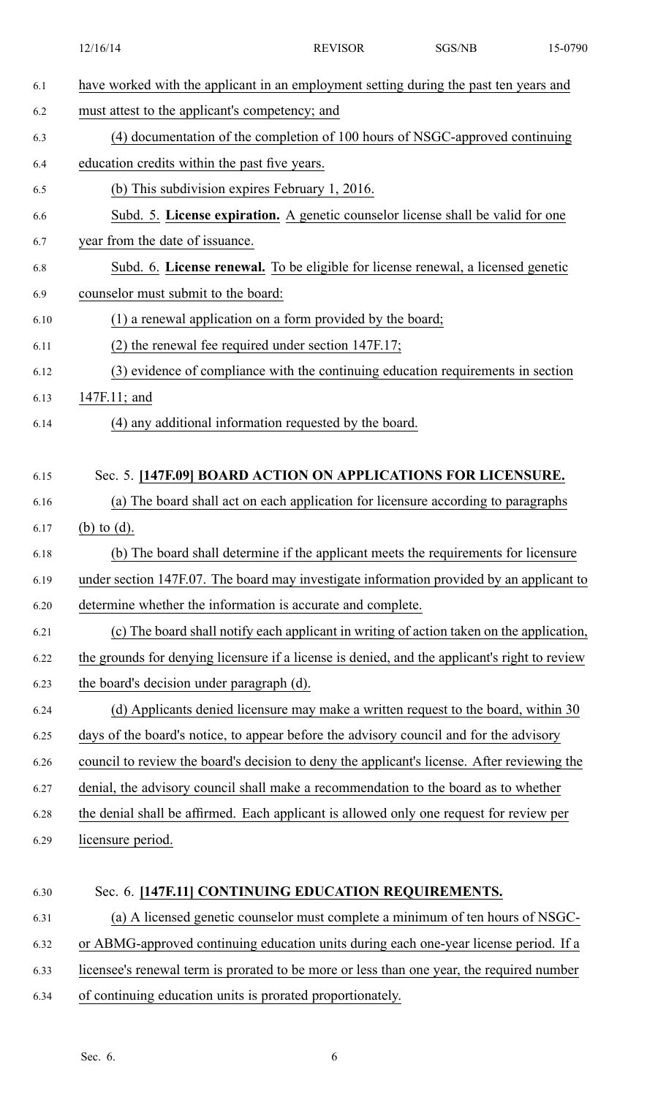|      | 12/16/14                                                                                      | <b>REVISOR</b> | SGS/NB | 15-0790 |
|------|-----------------------------------------------------------------------------------------------|----------------|--------|---------|
| 6.1  | have worked with the applicant in an employment setting during the past ten years and         |                |        |         |
| 6.2  | must attest to the applicant's competency; and                                                |                |        |         |
| 6.3  | (4) documentation of the completion of 100 hours of NSGC-approved continuing                  |                |        |         |
| 6.4  | education credits within the past five years.                                                 |                |        |         |
| 6.5  | (b) This subdivision expires February 1, 2016.                                                |                |        |         |
| 6.6  | Subd. 5. License expiration. A genetic counselor license shall be valid for one               |                |        |         |
| 6.7  | year from the date of issuance.                                                               |                |        |         |
| 6.8  | Subd. 6. License renewal. To be eligible for license renewal, a licensed genetic              |                |        |         |
| 6.9  | counselor must submit to the board:                                                           |                |        |         |
| 6.10 | (1) a renewal application on a form provided by the board;                                    |                |        |         |
| 6.11 | $(2)$ the renewal fee required under section 147F.17;                                         |                |        |         |
| 6.12 | (3) evidence of compliance with the continuing education requirements in section              |                |        |         |
| 6.13 | 147F.11; and                                                                                  |                |        |         |
| 6.14 | (4) any additional information requested by the board.                                        |                |        |         |
| 6.15 | Sec. 5. [147F.09] BOARD ACTION ON APPLICATIONS FOR LICENSURE.                                 |                |        |         |
| 6.16 | (a) The board shall act on each application for licensure according to paragraphs             |                |        |         |
| 6.17 | (b) to $(d)$ .                                                                                |                |        |         |
| 6.18 | (b) The board shall determine if the applicant meets the requirements for licensure           |                |        |         |
| 6.19 | under section 147F.07. The board may investigate information provided by an applicant to      |                |        |         |
| 6.20 | determine whether the information is accurate and complete.                                   |                |        |         |
| 6.21 | (c) The board shall notify each applicant in writing of action taken on the application,      |                |        |         |
| 6.22 | the grounds for denying licensure if a license is denied, and the applicant's right to review |                |        |         |
| 6.23 | the board's decision under paragraph (d).                                                     |                |        |         |
| 6.24 | (d) Applicants denied licensure may make a written request to the board, within 30            |                |        |         |
| 6.25 | days of the board's notice, to appear before the advisory council and for the advisory        |                |        |         |
| 6.26 | council to review the board's decision to deny the applicant's license. After reviewing the   |                |        |         |
| 6.27 | denial, the advisory council shall make a recommendation to the board as to whether           |                |        |         |
| 6.28 | the denial shall be affirmed. Each applicant is allowed only one request for review per       |                |        |         |
| 6.29 | licensure period.                                                                             |                |        |         |
|      |                                                                                               |                |        |         |
| 6.30 | Sec. 6. [147F.11] CONTINUING EDUCATION REQUIREMENTS.                                          |                |        |         |
| 6.31 | (a) A licensed genetic counselor must complete a minimum of ten hours of NSGC-                |                |        |         |
| 6.32 | or ABMG-approved continuing education units during each one-year license period. If a         |                |        |         |
| 6.33 | licensee's renewal term is prorated to be more or less than one year, the required number     |                |        |         |
| 6.34 | of continuing education units is prorated proportionately.                                    |                |        |         |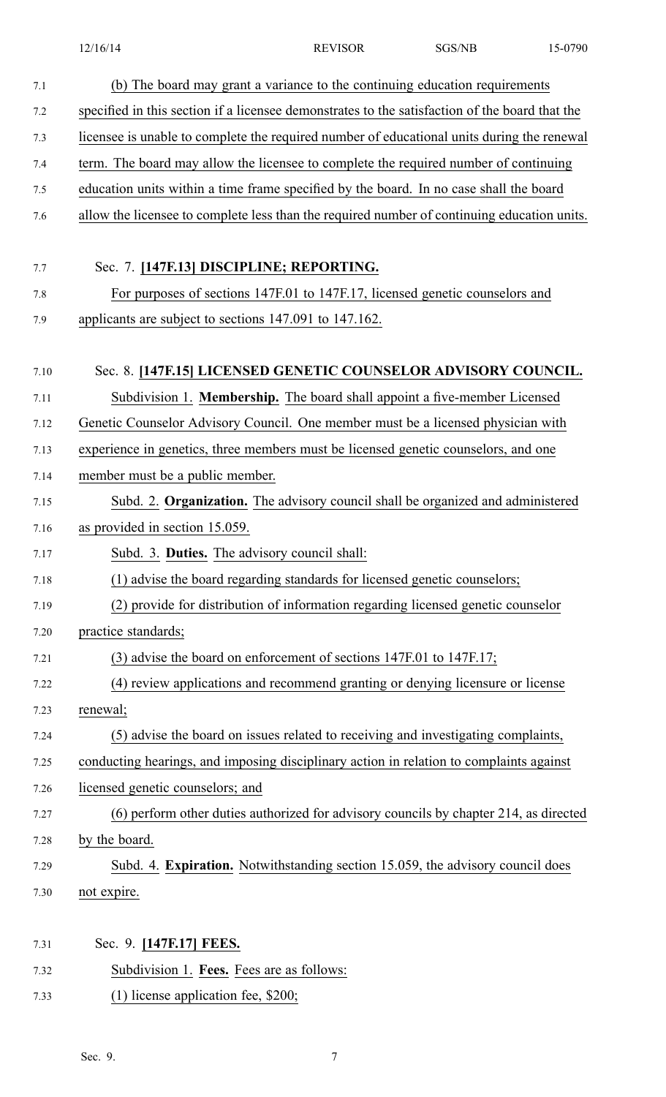12/16/14 REVISOR SGS/NB 15-0790

| 7.1  | (b) The board may grant a variance to the continuing education requirements                    |
|------|------------------------------------------------------------------------------------------------|
| 7.2  | specified in this section if a licensee demonstrates to the satisfaction of the board that the |
| 7.3  | licensee is unable to complete the required number of educational units during the renewal     |
| 7.4  | term. The board may allow the licensee to complete the required number of continuing           |
| 7.5  | education units within a time frame specified by the board. In no case shall the board         |
| 7.6  | allow the licensee to complete less than the required number of continuing education units.    |
|      |                                                                                                |
| 7.7  | Sec. 7. [147F.13] DISCIPLINE; REPORTING.                                                       |
| 7.8  | For purposes of sections 147F.01 to 147F.17, licensed genetic counselors and                   |
| 7.9  | applicants are subject to sections 147.091 to 147.162.                                         |
|      |                                                                                                |
| 7.10 | Sec. 8. [147F.15] LICENSED GENETIC COUNSELOR ADVISORY COUNCIL.                                 |
| 7.11 | Subdivision 1. Membership. The board shall appoint a five-member Licensed                      |
| 7.12 | Genetic Counselor Advisory Council. One member must be a licensed physician with               |
| 7.13 | experience in genetics, three members must be licensed genetic counselors, and one             |
| 7.14 | member must be a public member.                                                                |
| 7.15 | Subd. 2. Organization. The advisory council shall be organized and administered                |
| 7.16 | as provided in section 15.059.                                                                 |
| 7.17 | Subd. 3. Duties. The advisory council shall:                                                   |
| 7.18 | (1) advise the board regarding standards for licensed genetic counselors;                      |
| 7.19 | (2) provide for distribution of information regarding licensed genetic counselor               |
| 7.20 | practice standards;                                                                            |
| 7.21 | (3) advise the board on enforcement of sections 147F.01 to 147F.17;                            |
| 7.22 | (4) review applications and recommend granting or denying licensure or license                 |
| 7.23 | renewal;                                                                                       |
| 7.24 | (5) advise the board on issues related to receiving and investigating complaints,              |
| 7.25 | conducting hearings, and imposing disciplinary action in relation to complaints against        |
| 7.26 | licensed genetic counselors; and                                                               |
| 7.27 | (6) perform other duties authorized for advisory councils by chapter 214, as directed          |
| 7.28 | by the board.                                                                                  |
| 7.29 | Subd. 4. Expiration. Notwithstanding section 15.059, the advisory council does                 |
| 7.30 | not expire.                                                                                    |
|      |                                                                                                |
| 7.31 | Sec. 9. [147F.17] FEES.                                                                        |
| 7.32 | Subdivision 1. Fees. Fees are as follows:                                                      |
| 7.33 | $(1)$ license application fee, \$200;                                                          |